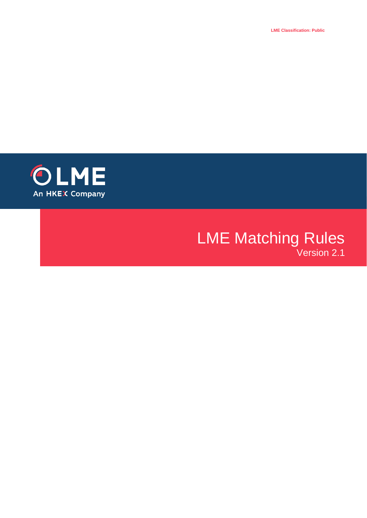**LME Classification: Public**



# **LME Matching Rules** Version 2.1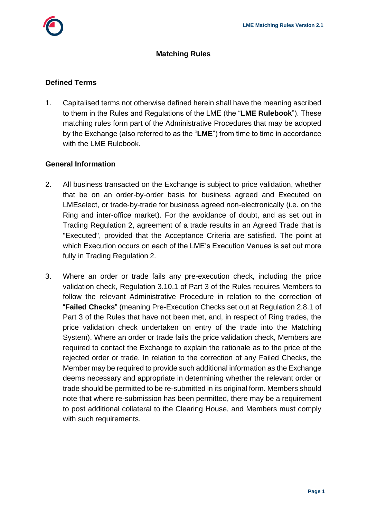

#### **Matching Rules**

#### **Defined Terms**

1. Capitalised terms not otherwise defined herein shall have the meaning ascribed to them in the Rules and Regulations of the LME (the "**LME Rulebook**"). These matching rules form part of the Administrative Procedures that may be adopted by the Exchange (also referred to as the "**LME**") from time to time in accordance with the LME Rulebook.

#### **General Information**

- 2. All business transacted on the Exchange is subject to price validation, whether that be on an order-by-order basis for business agreed and Executed on LMEselect, or trade-by-trade for business agreed non-electronically (i.e. on the Ring and inter-office market). For the avoidance of doubt, and as set out in Trading Regulation 2, agreement of a trade results in an Agreed Trade that is "Executed", provided that the Acceptance Criteria are satisfied. The point at which Execution occurs on each of the LME's Execution Venues is set out more fully in Trading Regulation 2.
- 3. Where an order or trade fails any pre-execution check, including the price validation check, Regulation 3.10.1 of Part 3 of the Rules requires Members to follow the relevant Administrative Procedure in relation to the correction of "**Failed Checks**" (meaning Pre-Execution Checks set out at Regulation 2.8.1 of Part 3 of the Rules that have not been met, and, in respect of Ring trades, the price validation check undertaken on entry of the trade into the Matching System). Where an order or trade fails the price validation check, Members are required to contact the Exchange to explain the rationale as to the price of the rejected order or trade. In relation to the correction of any Failed Checks, the Member may be required to provide such additional information as the Exchange deems necessary and appropriate in determining whether the relevant order or trade should be permitted to be re-submitted in its original form. Members should note that where re-submission has been permitted, there may be a requirement to post additional collateral to the Clearing House, and Members must comply with such requirements.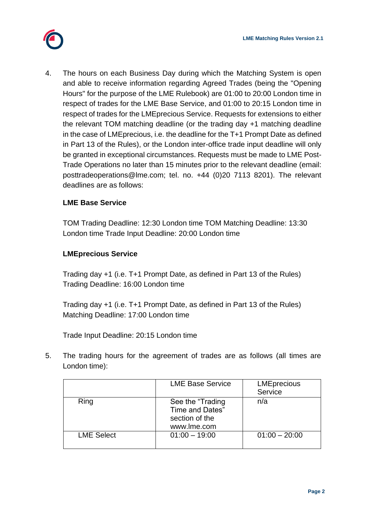

4. The hours on each Business Day during which the Matching System is open and able to receive information regarding Agreed Trades (being the "Opening Hours" for the purpose of the LME Rulebook) are 01:00 to 20:00 London time in respect of trades for the LME Base Service, and 01:00 to 20:15 London time in respect of trades for the LMEprecious Service. Requests for extensions to either the relevant TOM matching deadline (or the trading day +1 matching deadline in the case of LMEprecious, i.e. the deadline for the T+1 Prompt Date as defined in Part 13 of the Rules), or the London inter-office trade input deadline will only be granted in exceptional circumstances. Requests must be made to LME Post-Trade Operations no later than 15 minutes prior to the relevant deadline (email: [posttradeoperations@lme.com;](mailto:posttradeoperations@lme.com) tel. no. +44 (0)20 7113 8201). The relevant deadlines are as follows:

## **LME Base Service**

TOM Trading Deadline: 12:30 London time TOM Matching Deadline: 13:30 London time Trade Input Deadline: 20:00 London time

## **LMEprecious Service**

Trading day +1 (i.e. T+1 Prompt Date, as defined in Part 13 of the Rules) Trading Deadline: 16:00 London time

Trading day +1 (i.e. T+1 Prompt Date, as defined in Part 13 of the Rules) Matching Deadline: 17:00 London time

Trade Input Deadline: 20:15 London time

5. The trading hours for the agreement of trades are as follows (all times are London time):

|                   | <b>LME Base Service</b>                                               | <b>LMEprecious</b><br>Service |
|-------------------|-----------------------------------------------------------------------|-------------------------------|
| Ring              | See the "Trading"<br>Time and Dates"<br>section of the<br>www.lme.com | n/a                           |
| <b>LME Select</b> | $01:00 - 19:00$                                                       | $01:00 - 20:00$               |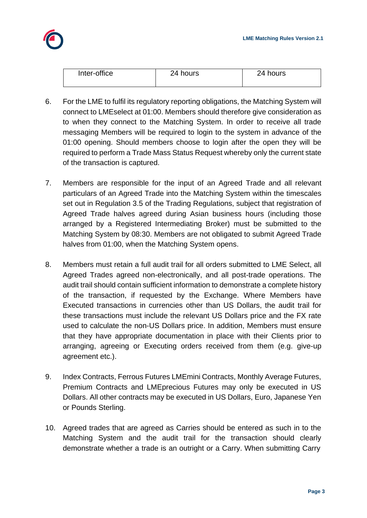

| Inter-office | 24 hours | 24 hours |
|--------------|----------|----------|
|              |          |          |

- 6. For the LME to fulfil its regulatory reporting obligations, the Matching System will connect to LMEselect at 01:00. Members should therefore give consideration as to when they connect to the Matching System. In order to receive all trade messaging Members will be required to login to the system in advance of the 01:00 opening. Should members choose to login after the open they will be required to perform a Trade Mass Status Request whereby only the current state of the transaction is captured.
- 7. Members are responsible for the input of an Agreed Trade and all relevant particulars of an Agreed Trade into the Matching System within the timescales set out in Regulation 3.5 of the Trading Regulations, subject that registration of Agreed Trade halves agreed during Asian business hours (including those arranged by a Registered Intermediating Broker) must be submitted to the Matching System by 08:30. Members are not obligated to submit Agreed Trade halves from 01:00, when the Matching System opens.
- 8. Members must retain a full audit trail for all orders submitted to LME Select, all Agreed Trades agreed non-electronically, and all post-trade operations. The audit trail should contain sufficient information to demonstrate a complete history of the transaction, if requested by the Exchange. Where Members have Executed transactions in currencies other than US Dollars, the audit trail for these transactions must include the relevant US Dollars price and the FX rate used to calculate the non-US Dollars price. In addition, Members must ensure that they have appropriate documentation in place with their Clients prior to arranging, agreeing or Executing orders received from them (e.g. give-up agreement etc.).
- 9. Index Contracts, Ferrous Futures LMEmini Contracts, Monthly Average Futures, Premium Contracts and LMEprecious Futures may only be executed in US Dollars. All other contracts may be executed in US Dollars, Euro, Japanese Yen or Pounds Sterling.
- 10. Agreed trades that are agreed as Carries should be entered as such in to the Matching System and the audit trail for the transaction should clearly demonstrate whether a trade is an outright or a Carry. When submitting Carry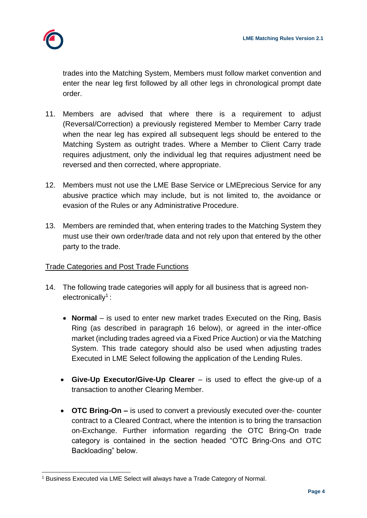

trades into the Matching System, Members must follow market convention and enter the near leg first followed by all other legs in chronological prompt date order.

- 11. Members are advised that where there is a requirement to adjust (Reversal/Correction) a previously registered Member to Member Carry trade when the near leg has expired all subsequent legs should be entered to the Matching System as outright trades. Where a Member to Client Carry trade requires adjustment, only the individual leg that requires adjustment need be reversed and then corrected, where appropriate.
- 12. Members must not use the LME Base Service or LMEprecious Service for any abusive practice which may include, but is not limited to, the avoidance or evasion of the Rules or any Administrative Procedure.
- 13. Members are reminded that, when entering trades to the Matching System they must use their own order/trade data and not rely upon that entered by the other party to the trade.

## Trade Categories and Post Trade Functions

- 14. The following trade categories will apply for all business that is agreed nonelectronically<sup>1</sup>:
	- **Normal** is used to enter new market trades Executed on the Ring, Basis Ring (as described in paragraph 16 below), or agreed in the inter-office market (including trades agreed via a Fixed Price Auction) or via the Matching System. This trade category should also be used when adjusting trades Executed in LME Select following the application of the Lending Rules.
	- **Give-Up Executor/Give-Up Clearer**  is used to effect the give-up of a transaction to another Clearing Member.
	- **OTC Bring-On –** is used to convert a previously executed over-the- counter contract to a Cleared Contract, where the intention is to bring the transaction on-Exchange. Further information regarding the OTC Bring-On trade category is contained in the section headed "OTC Bring-Ons and OTC Backloading" below.

<sup>&</sup>lt;sup>1</sup> Business Executed via LME Select will always have a Trade Category of Normal.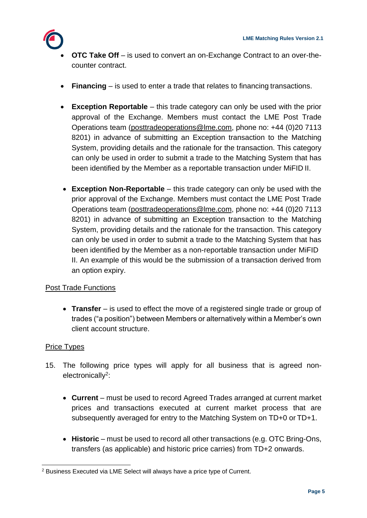

- **OTC Take Off** is used to convert an on-Exchange Contract to an over-thecounter contract.
- **Financing**  is used to enter a trade that relates to financing transactions.
- **Exception Reportable** this trade category can only be used with the prior approval of the Exchange. Members must contact the LME Post Trade Operations team [\(posttradeoperations@lme.com, p](mailto:(posttradeoperations@lme.com)hone no: +44 (0)20 7113 8201) in advance of submitting an Exception transaction to the Matching System, providing details and the rationale for the transaction. This category can only be used in order to submit a trade to the Matching System that has been identified by the Member as a reportable transaction under MiFID II.
- **Exception Non-Reportable** this trade category can only be used with the prior approval of the Exchange. Members must contact the LME Post Trade Operations team [\(posttradeoperations@lme.com,](mailto:posttradeoperations@lme.com) phone no: +44 (0)20 7113 8201) in advance of submitting an Exception transaction to the Matching System, providing details and the rationale for the transaction. This category can only be used in order to submit a trade to the Matching System that has been identified by the Member as a non-reportable transaction under MiFID II. An example of this would be the submission of a transaction derived from an option expiry.

## Post Trade Functions

 **Transfer** – is used to effect the move of a registered single trade or group of trades ("a position") between Members or alternatively within a Member's own client account structure.

#### Price Types

- 15. The following price types will apply for all business that is agreed nonelectronically<sup>2</sup>:
	- **Current**  must be used to record Agreed Trades arranged at current market prices and transactions executed at current market process that are subsequently averaged for entry to the Matching System on TD+0 or TD+1.
	- Historic must be used to record all other transactions (e.g. OTC Bring-Ons, transfers (as applicable) and historic price carries) from TD+2 onwards.

 <sup>2</sup> Business Executed via LME Select will always have a price type of Current.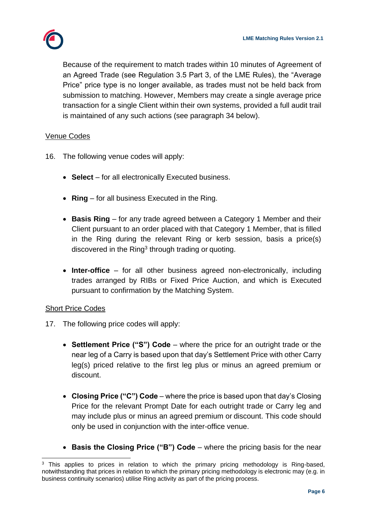

Because of the requirement to match trades within 10 minutes of Agreement of an Agreed Trade (see Regulation 3.5 Part 3, of the LME Rules), the "Average Price" price type is no longer available, as trades must not be held back from submission to matching. However, Members may create a single average price transaction for a single Client within their own systems, provided a full audit trail is maintained of any such actions (see paragraph 34 below).

## Venue Codes

- 16. The following venue codes will apply:
	- **Select**  for all electronically Executed business.
	- **Ring**  for all business Executed in the Ring.
	- **Basis Ring**  for any trade agreed between a Category 1 Member and their Client pursuant to an order placed with that Category 1 Member, that is filled in the Ring during the relevant Ring or kerb session, basis a price(s) discovered in the Ring<sup>3</sup> through trading or quoting.
	- **Inter-office**  for all other business agreed non-electronically, including trades arranged by RIBs or Fixed Price Auction, and which is Executed pursuant to confirmation by the Matching System.

#### Short Price Codes

- 17. The following price codes will apply:
	- **Settlement Price ("S") Code**  where the price for an outright trade or the near leg of a Carry is based upon that day's Settlement Price with other Carry leg(s) priced relative to the first leg plus or minus an agreed premium or discount.
	- **Closing Price ("C") Code**  where the price is based upon that day's Closing Price for the relevant Prompt Date for each outright trade or Carry leg and may include plus or minus an agreed premium or discount. This code should only be used in conjunction with the inter-office venue.
	- **Basis the Closing Price ("B") Code**  where the pricing basis for the near

 $\overline{a}$  $3$  This applies to prices in relation to which the primary pricing methodology is Ring-based, notwithstanding that prices in relation to which the primary pricing methodology is electronic may (e.g. in business continuity scenarios) utilise Ring activity as part of the pricing process.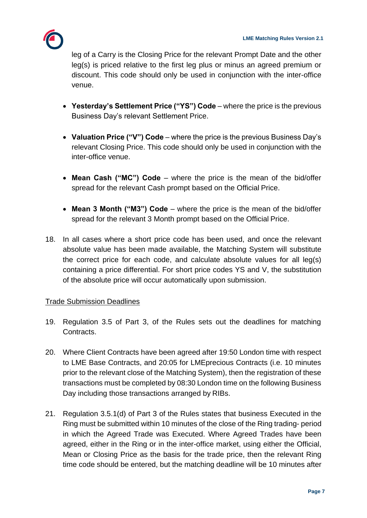

leg of a Carry is the Closing Price for the relevant Prompt Date and the other leg(s) is priced relative to the first leg plus or minus an agreed premium or discount. This code should only be used in conjunction with the inter-office venue.

- **Yesterday's Settlement Price ("YS") Code**  where the price is the previous Business Day's relevant Settlement Price.
- **Valuation Price ("V") Code**  where the price is the previous Business Day's relevant Closing Price. This code should only be used in conjunction with the inter-office venue.
- **Mean Cash ("MC") Code**  where the price is the mean of the bid/offer spread for the relevant Cash prompt based on the Official Price.
- **Mean 3 Month ("M3") Code**  where the price is the mean of the bid/offer spread for the relevant 3 Month prompt based on the Official Price.
- 18. In all cases where a short price code has been used, and once the relevant absolute value has been made available, the Matching System will substitute the correct price for each code, and calculate absolute values for all leg(s) containing a price differential. For short price codes YS and V, the substitution of the absolute price will occur automatically upon submission.

## Trade Submission Deadlines

- 19. Regulation 3.5 of Part 3, of the Rules sets out the deadlines for matching Contracts.
- 20. Where Client Contracts have been agreed after 19:50 London time with respect to LME Base Contracts, and 20:05 for LMEprecious Contracts (i.e. 10 minutes prior to the relevant close of the Matching System), then the registration of these transactions must be completed by 08:30 London time on the following Business Day including those transactions arranged by RIBs.
- 21. Regulation 3.5.1(d) of Part 3 of the Rules states that business Executed in the Ring must be submitted within 10 minutes of the close of the Ring trading- period in which the Agreed Trade was Executed. Where Agreed Trades have been agreed, either in the Ring or in the inter-office market, using either the Official, Mean or Closing Price as the basis for the trade price, then the relevant Ring time code should be entered, but the matching deadline will be 10 minutes after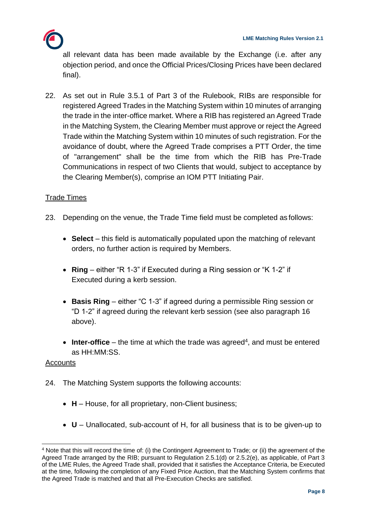

all relevant data has been made available by the Exchange (i.e. after any objection period, and once the Official Prices/Closing Prices have been declared final).

22. As set out in Rule 3.5.1 of Part 3 of the Rulebook, RIBs are responsible for registered Agreed Trades in the Matching System within 10 minutes of arranging the trade in the inter-office market. Where a RIB has registered an Agreed Trade in the Matching System, the Clearing Member must approve or reject the Agreed Trade within the Matching System within 10 minutes of such registration. For the avoidance of doubt, where the Agreed Trade comprises a PTT Order, the time of "arrangement" shall be the time from which the RIB has Pre-Trade Communications in respect of two Clients that would, subject to acceptance by the Clearing Member(s), comprise an IOM PTT Initiating Pair.

## **Trade Times**

- 23. Depending on the venue, the Trade Time field must be completed as follows:
	- **Select** this field is automatically populated upon the matching of relevant orders, no further action is required by Members.
	- **Ring**  either "R 1-3" if Executed during a Ring session or "K 1-2" if Executed during a kerb session.
	- **Basis Ring**  either "C 1-3" if agreed during a permissible Ring session or "D 1-2" if agreed during the relevant kerb session (see also paragraph 16 above).
	- $\bullet$  Inter-office the time at which the trade was agreed<sup>4</sup>, and must be entered as HH:MM:SS.

#### Accounts

- 24. The Matching System supports the following accounts:
	- H House, for all proprietary, non-Client business;
	- **U**  Unallocated, sub-account of H, for all business that is to be given-up to

<sup>4</sup> Note that this will record the time of: (i) the Contingent Agreement to Trade; or (ii) the agreement of the Agreed Trade arranged by the RIB; pursuant to Regulation 2.5.1(d) or 2.5.2(e), as applicable, of Part 3 of the LME Rules, the Agreed Trade shall, provided that it satisfies the Acceptance Criteria, be Executed at the time, following the completion of any Fixed Price Auction, that the Matching System confirms that the Agreed Trade is matched and that all Pre-Execution Checks are satisfied.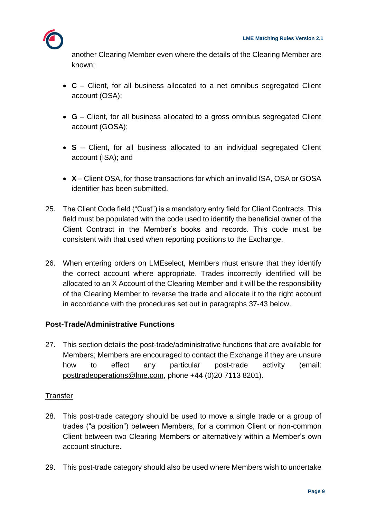another Clearing Member even where the details of the Clearing Member are known;

- **C**  Client, for all business allocated to a net omnibus segregated Client account (OSA);
- **G**  Client, for all business allocated to a gross omnibus segregated Client account (GOSA);
- **S** Client, for all business allocated to an individual segregated Client account (ISA); and
- **X**  Client OSA, for those transactions for which an invalid ISA, OSA or GOSA identifier has been submitted.
- 25. The Client Code field ("Cust") is a mandatory entry field for Client Contracts. This field must be populated with the code used to identify the beneficial owner of the Client Contract in the Member's books and records. This code must be consistent with that used when reporting positions to the Exchange.
- 26. When entering orders on LMEselect, Members must ensure that they identify the correct account where appropriate. Trades incorrectly identified will be allocated to an X Account of the Clearing Member and it will be the responsibility of the Clearing Member to reverse the trade and allocate it to the right account in accordance with the procedures set out in paragraphs 37-43 below.

## **Post-Trade/Administrative Functions**

27. This section details the post-trade/administrative functions that are available for Members; Members are encouraged to contact the Exchange if they are unsure how to effect any particular post-trade activity (email[:](mailto:posttradeoperations@lme.com) [posttradeoperations@lme.com,](mailto:posttradeoperations@lme.com) phone +44 (0)20 7113 8201).

## **Transfer**

- 28. This post-trade category should be used to move a single trade or a group of trades ("a position") between Members, for a common Client or non-common Client between two Clearing Members or alternatively within a Member's own account structure.
- 29. This post-trade category should also be used where Members wish to undertake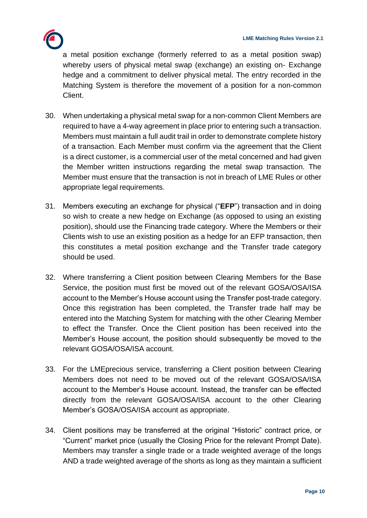

a metal position exchange (formerly referred to as a metal position swap) whereby users of physical metal swap (exchange) an existing on- Exchange hedge and a commitment to deliver physical metal. The entry recorded in the Matching System is therefore the movement of a position for a non-common Client.

- 30. When undertaking a physical metal swap for a non-common Client Members are required to have a 4-way agreement in place prior to entering such a transaction. Members must maintain a full audit trail in order to demonstrate complete history of a transaction. Each Member must confirm via the agreement that the Client is a direct customer, is a commercial user of the metal concerned and had given the Member written instructions regarding the metal swap transaction. The Member must ensure that the transaction is not in breach of LME Rules or other appropriate legal requirements.
- 31. Members executing an exchange for physical ("**EFP**") transaction and in doing so wish to create a new hedge on Exchange (as opposed to using an existing position), should use the Financing trade category. Where the Members or their Clients wish to use an existing position as a hedge for an EFP transaction, then this constitutes a metal position exchange and the Transfer trade category should be used.
- 32. Where transferring a Client position between Clearing Members for the Base Service, the position must first be moved out of the relevant GOSA/OSA/ISA account to the Member's House account using the Transfer post-trade category. Once this registration has been completed, the Transfer trade half may be entered into the Matching System for matching with the other Clearing Member to effect the Transfer. Once the Client position has been received into the Member's House account, the position should subsequently be moved to the relevant GOSA/OSA/ISA account.
- 33. For the LMEprecious service, transferring a Client position between Clearing Members does not need to be moved out of the relevant GOSA/OSA/ISA account to the Member's House account. Instead, the transfer can be effected directly from the relevant GOSA/OSA/ISA account to the other Clearing Member's GOSA/OSA/ISA account as appropriate.
- 34. Client positions may be transferred at the original "Historic" contract price, or "Current" market price (usually the Closing Price for the relevant Prompt Date). Members may transfer a single trade or a trade weighted average of the longs AND a trade weighted average of the shorts as long as they maintain a sufficient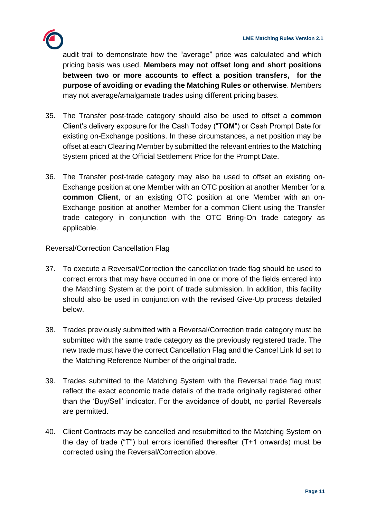

audit trail to demonstrate how the "average" price was calculated and which pricing basis was used. **Members may not offset long and short positions between two or more accounts to effect a position transfers, for the purpose of avoiding or evading the Matching Rules or otherwise**. Members may not average/amalgamate trades using different pricing bases.

- 35. The Transfer post-trade category should also be used to offset a **common**  Client's delivery exposure for the Cash Today ("**TOM**") or Cash Prompt Date for existing on-Exchange positions. In these circumstances, a net position may be offset at each Clearing Member by submitted the relevant entries to the Matching System priced at the Official Settlement Price for the Prompt Date.
- 36. The Transfer post-trade category may also be used to offset an existing on-Exchange position at one Member with an OTC position at another Member for a **common Client**, or an existing OTC position at one Member with an on-Exchange position at another Member for a common Client using the Transfer trade category in conjunction with the OTC Bring-On trade category as applicable.

#### Reversal/Correction Cancellation Flag

- 37. To execute a Reversal/Correction the cancellation trade flag should be used to correct errors that may have occurred in one or more of the fields entered into the Matching System at the point of trade submission. In addition, this facility should also be used in conjunction with the revised Give-Up process detailed below.
- 38. Trades previously submitted with a Reversal/Correction trade category must be submitted with the same trade category as the previously registered trade. The new trade must have the correct Cancellation Flag and the Cancel Link Id set to the Matching Reference Number of the original trade.
- 39. Trades submitted to the Matching System with the Reversal trade flag must reflect the exact economic trade details of the trade originally registered other than the 'Buy/Sell' indicator. For the avoidance of doubt, no partial Reversals are permitted.
- 40. Client Contracts may be cancelled and resubmitted to the Matching System on the day of trade ("T") but errors identified thereafter (T+1 onwards) must be corrected using the Reversal/Correction above.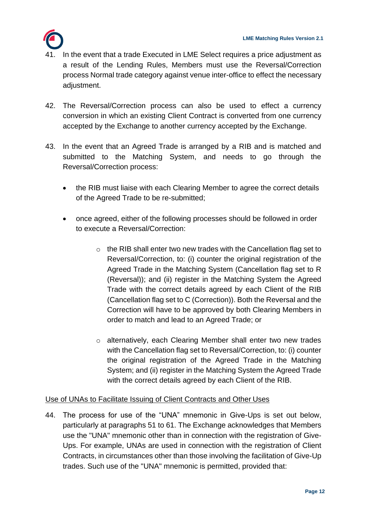

- In the event that a trade Executed in LME Select requires a price adjustment as a result of the Lending Rules, Members must use the Reversal/Correction process Normal trade category against venue inter-office to effect the necessary adiustment.
- 42. The Reversal/Correction process can also be used to effect a currency conversion in which an existing Client Contract is converted from one currency accepted by the Exchange to another currency accepted by the Exchange.
- 43. In the event that an Agreed Trade is arranged by a RIB and is matched and submitted to the Matching System, and needs to go through the Reversal/Correction process:
	- the RIB must liaise with each Clearing Member to agree the correct details of the Agreed Trade to be re-submitted;
	- once agreed, either of the following processes should be followed in order to execute a Reversal/Correction:
		- o the RIB shall enter two new trades with the Cancellation flag set to Reversal/Correction, to: (i) counter the original registration of the Agreed Trade in the Matching System (Cancellation flag set to R (Reversal)); and (ii) register in the Matching System the Agreed Trade with the correct details agreed by each Client of the RIB (Cancellation flag set to C (Correction)). Both the Reversal and the Correction will have to be approved by both Clearing Members in order to match and lead to an Agreed Trade; or
		- o alternatively, each Clearing Member shall enter two new trades with the Cancellation flag set to Reversal/Correction, to: (i) counter the original registration of the Agreed Trade in the Matching System; and (ii) register in the Matching System the Agreed Trade with the correct details agreed by each Client of the RIB.

## Use of UNAs to Facilitate Issuing of Client Contracts and Other Uses

44. The process for use of the "UNA" mnemonic in Give-Ups is set out below, particularly at paragraphs 51 to 61. The Exchange acknowledges that Members use the "UNA" mnemonic other than in connection with the registration of Give-Ups. For example, UNAs are used in connection with the registration of Client Contracts, in circumstances other than those involving the facilitation of Give-Up trades. Such use of the "UNA" mnemonic is permitted, provided that: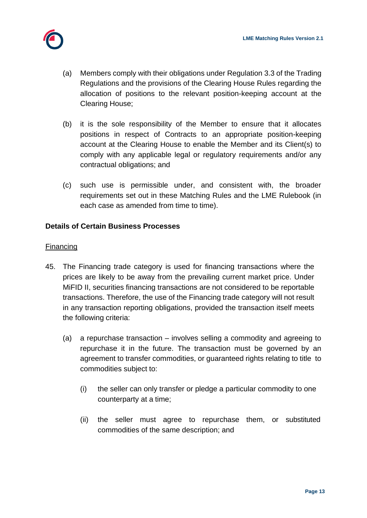

- (a) Members comply with their obligations under Regulation 3.3 of the Trading Regulations and the provisions of the Clearing House Rules regarding the allocation of positions to the relevant position-keeping account at the Clearing House;
- (b) it is the sole responsibility of the Member to ensure that it allocates positions in respect of Contracts to an appropriate position-keeping account at the Clearing House to enable the Member and its Client(s) to comply with any applicable legal or regulatory requirements and/or any contractual obligations; and
- (c) such use is permissible under, and consistent with, the broader requirements set out in these Matching Rules and the LME Rulebook (in each case as amended from time to time).

## **Details of Certain Business Processes**

#### **Financing**

- 45. The Financing trade category is used for financing transactions where the prices are likely to be away from the prevailing current market price. Under MiFID II, securities financing transactions are not considered to be reportable transactions. Therefore, the use of the Financing trade category will not result in any transaction reporting obligations, provided the transaction itself meets the following criteria:
	- (a) a repurchase transaction involves selling a commodity and agreeing to repurchase it in the future. The transaction must be governed by an agreement to transfer commodities, or guaranteed rights relating to title to commodities subject to:
		- (i) the seller can only transfer or pledge a particular commodity to one counterparty at a time;
		- (ii) the seller must agree to repurchase them, or substituted commodities of the same description; and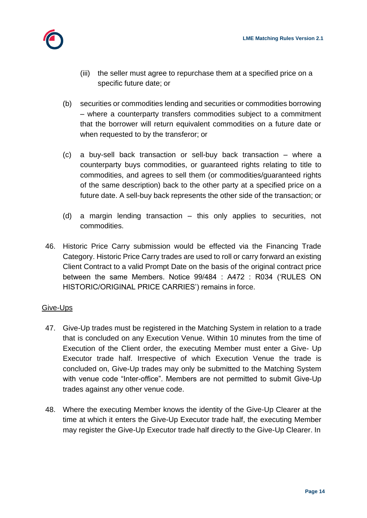

- (iii) the seller must agree to repurchase them at a specified price on a specific future date; or
- (b) securities or commodities lending and securities or commodities borrowing – where a counterparty transfers commodities subject to a commitment that the borrower will return equivalent commodities on a future date or when requested to by the transferor; or
- (c) a buy-sell back transaction or sell-buy back transaction where a counterparty buys commodities, or guaranteed rights relating to title to commodities, and agrees to sell them (or commodities/guaranteed rights of the same description) back to the other party at a specified price on a future date. A sell-buy back represents the other side of the transaction; or
- (d) a margin lending transaction this only applies to securities, not commodities.
- 46. Historic Price Carry submission would be effected via the Financing Trade Category. Historic Price Carry trades are used to roll or carry forward an existing Client Contract to a valid Prompt Date on the basis of the original contract price between the same Members. Notice 99/484 : A472 : R034 ('RULES ON HISTORIC/ORIGINAL PRICE CARRIES') remains in force.

## Give-Ups

- 47. Give-Up trades must be registered in the Matching System in relation to a trade that is concluded on any Execution Venue. Within 10 minutes from the time of Execution of the Client order, the executing Member must enter a Give- Up Executor trade half. Irrespective of which Execution Venue the trade is concluded on, Give-Up trades may only be submitted to the Matching System with venue code "Inter-office". Members are not permitted to submit Give-Up trades against any other venue code.
- 48. Where the executing Member knows the identity of the Give-Up Clearer at the time at which it enters the Give-Up Executor trade half, the executing Member may register the Give-Up Executor trade half directly to the Give-Up Clearer. In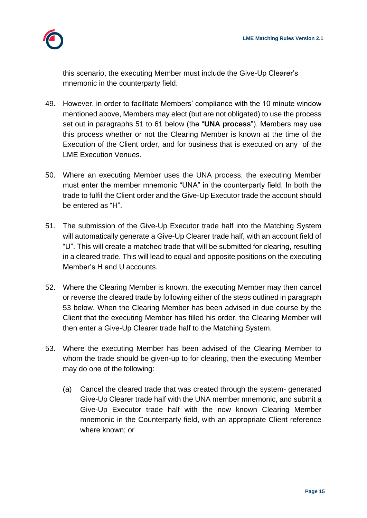

this scenario, the executing Member must include the Give-Up Clearer's mnemonic in the counterparty field.

- 49. However, in order to facilitate Members' compliance with the 10 minute window mentioned above, Members may elect (but are not obligated) to use the process set out in paragraphs 51 to 61 below (the "**UNA process**"). Members may use this process whether or not the Clearing Member is known at the time of the Execution of the Client order, and for business that is executed on any of the LME Execution Venues.
- 50. Where an executing Member uses the UNA process, the executing Member must enter the member mnemonic "UNA" in the counterparty field. In both the trade to fulfil the Client order and the Give-Up Executor trade the account should be entered as "H".
- 51. The submission of the Give-Up Executor trade half into the Matching System will automatically generate a Give-Up Clearer trade half, with an account field of "U". This will create a matched trade that will be submitted for clearing, resulting in a cleared trade. This will lead to equal and opposite positions on the executing Member's H and U accounts.
- 52. Where the Clearing Member is known, the executing Member may then cancel or reverse the cleared trade by following either of the steps outlined in paragraph 53 below. When the Clearing Member has been advised in due course by the Client that the executing Member has filled his order, the Clearing Member will then enter a Give-Up Clearer trade half to the Matching System.
- 53. Where the executing Member has been advised of the Clearing Member to whom the trade should be given-up to for clearing, then the executing Member may do one of the following:
	- (a) Cancel the cleared trade that was created through the system- generated Give-Up Clearer trade half with the UNA member mnemonic, and submit a Give-Up Executor trade half with the now known Clearing Member mnemonic in the Counterparty field, with an appropriate Client reference where known; or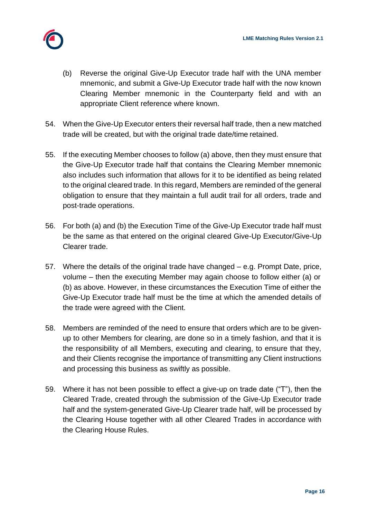

- (b) Reverse the original Give-Up Executor trade half with the UNA member mnemonic, and submit a Give-Up Executor trade half with the now known Clearing Member mnemonic in the Counterparty field and with an appropriate Client reference where known.
- 54. When the Give-Up Executor enters their reversal half trade, then a new matched trade will be created, but with the original trade date/time retained.
- 55. If the executing Member chooses to follow (a) above, then they must ensure that the Give-Up Executor trade half that contains the Clearing Member mnemonic also includes such information that allows for it to be identified as being related to the original cleared trade. In this regard, Members are reminded of the general obligation to ensure that they maintain a full audit trail for all orders, trade and post-trade operations.
- 56. For both (a) and (b) the Execution Time of the Give-Up Executor trade half must be the same as that entered on the original cleared Give-Up Executor/Give-Up Clearer trade.
- 57. Where the details of the original trade have changed e.g. Prompt Date, price, volume – then the executing Member may again choose to follow either (a) or (b) as above. However, in these circumstances the Execution Time of either the Give-Up Executor trade half must be the time at which the amended details of the trade were agreed with the Client.
- 58. Members are reminded of the need to ensure that orders which are to be givenup to other Members for clearing, are done so in a timely fashion, and that it is the responsibility of all Members, executing and clearing, to ensure that they, and their Clients recognise the importance of transmitting any Client instructions and processing this business as swiftly as possible.
- 59. Where it has not been possible to effect a give-up on trade date ("T"), then the Cleared Trade, created through the submission of the Give-Up Executor trade half and the system-generated Give-Up Clearer trade half, will be processed by the Clearing House together with all other Cleared Trades in accordance with the Clearing House Rules.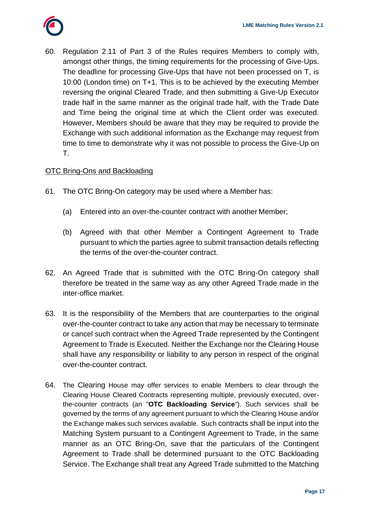

60. Regulation 2.11 of Part 3 of the Rules requires Members to comply with, amongst other things, the timing requirements for the processing of Give-Ups. The deadline for processing Give-Ups that have not been processed on T, is 10:00 (London time) on T+1. This is to be achieved by the executing Member reversing the original Cleared Trade, and then submitting a Give-Up Executor trade half in the same manner as the original trade half, with the Trade Date and Time being the original time at which the Client order was executed. However, Members should be aware that they may be required to provide the Exchange with such additional information as the Exchange may request from time to time to demonstrate why it was not possible to process the Give-Up on T.

#### OTC Bring-Ons and Backloading

- 61. The OTC Bring-On category may be used where a Member has:
	- (a) Entered into an over-the-counter contract with another Member;
	- (b) Agreed with that other Member a Contingent Agreement to Trade pursuant to which the parties agree to submit transaction details reflecting the terms of the over-the-counter contract.
- 62. An Agreed Trade that is submitted with the OTC Bring-On category shall therefore be treated in the same way as any other Agreed Trade made in the inter-office market.
- 63. It is the responsibility of the Members that are counterparties to the original over-the-counter contract to take any action that may be necessary to terminate or cancel such contract when the Agreed Trade represented by the Contingent Agreement to Trade is Executed. Neither the Exchange nor the Clearing House shall have any responsibility or liability to any person in respect of the original over-the-counter contract.
- 64. The Clearing House may offer services to enable Members to clear through the Clearing House Cleared Contracts representing multiple, previously executed, overthe-counter contracts (an "**OTC Backloading Service**"). Such services shall be governed by the terms of any agreement pursuant to which the Clearing House and/or the Exchange makes such services available. Such contracts shall be input into the Matching System pursuant to a Contingent Agreement to Trade, in the same manner as an OTC Bring-On, save that the particulars of the Contingent Agreement to Trade shall be determined pursuant to the OTC Backloading Service. The Exchange shall treat any Agreed Trade submitted to the Matching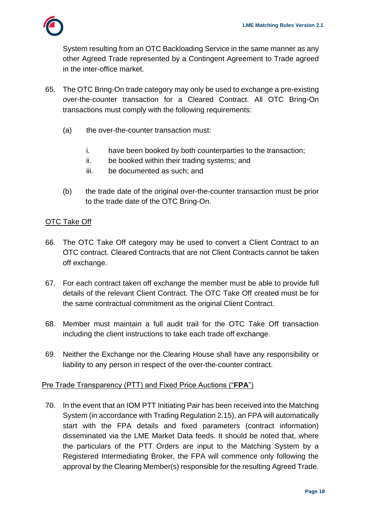

System resulting from an OTC Backloading Service in the same manner as any other Agreed Trade represented by a Contingent Agreement to Trade agreed in the inter-office market.

- 65. The OTC Bring-On trade category may only be used to exchange a pre-existing over-the-counter transaction for a Cleared Contract. All OTC Bring-On transactions must comply with the following requirements:
	- (a) the over-the-counter transaction must:
		- i. have been booked by both counterparties to the transaction;
		- ii. be booked within their trading systems; and
		- iii. be documented as such; and
	- (b) the trade date of the original over-the-counter transaction must be prior to the trade date of the OTC Bring-On.

## **OTC Take Off**

- 66. The OTC Take Off category may be used to convert a Client Contract to an OTC contract. Cleared Contracts that are not Client Contracts cannot be taken off exchange.
- 67. For each contract taken off exchange the member must be able to provide full details of the relevant Client Contract. The OTC Take Off created must be for the same contractual commitment as the original Client Contract.
- 68. Member must maintain a full audit trail for the OTC Take Off transaction including the client instructions to take each trade off exchange.
- 69. Neither the Exchange nor the Clearing House shall have any responsibility or liability to any person in respect of the over-the-counter contract.

#### Pre Trade Transparency (PTT) and Fixed Price Auctions ("**FPA**")

70. In the event that an IOM PTT Initiating Pair has been received into the Matching System (in accordance with Trading Regulation 2.15), an FPA will automatically start with the FPA details and fixed parameters (contract information) disseminated via the LME Market Data feeds. It should be noted that, where the particulars of the PTT Orders are input to the Matching System by a Registered Intermediating Broker, the FPA will commence only following the approval by the Clearing Member(s) responsible for the resulting Agreed Trade.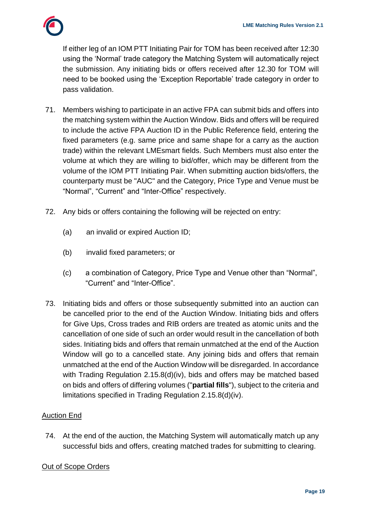

If either leg of an IOM PTT Initiating Pair for TOM has been received after 12:30 using the 'Normal' trade category the Matching System will automatically reject the submission. Any initiating bids or offers received after 12.30 for TOM will need to be booked using the 'Exception Reportable' trade category in order to pass validation.

- 71. Members wishing to participate in an active FPA can submit bids and offers into the matching system within the Auction Window. Bids and offers will be required to include the active FPA Auction ID in the Public Reference field, entering the fixed parameters (e.g. same price and same shape for a carry as the auction trade) within the relevant LMEsmart fields. Such Members must also enter the volume at which they are willing to bid/offer, which may be different from the volume of the IOM PTT Initiating Pair. When submitting auction bids/offers, the counterparty must be "AUC" and the Category, Price Type and Venue must be "Normal", "Current" and "Inter-Office" respectively.
- 72. Any bids or offers containing the following will be rejected on entry:
	- (a) an invalid or expired Auction ID;
	- (b) invalid fixed parameters; or
	- (c) a combination of Category, Price Type and Venue other than "Normal", "Current" and "Inter-Office".
- 73. Initiating bids and offers or those subsequently submitted into an auction can be cancelled prior to the end of the Auction Window. Initiating bids and offers for Give Ups, Cross trades and RIB orders are treated as atomic units and the cancellation of one side of such an order would result in the cancellation of both sides. Initiating bids and offers that remain unmatched at the end of the Auction Window will go to a cancelled state. Any joining bids and offers that remain unmatched at the end of the Auction Window will be disregarded. In accordance with Trading Regulation 2.15.8(d)(iv), bids and offers may be matched based on bids and offers of differing volumes ("**partial fills**"), subject to the criteria and limitations specified in Trading Regulation 2.15.8(d)(iv).

#### Auction End

74. At the end of the auction, the Matching System will automatically match up any successful bids and offers, creating matched trades for submitting to clearing.

#### Out of Scope Orders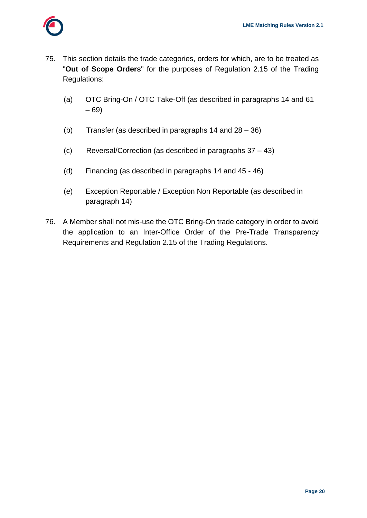- 75. This section details the trade categories, orders for which, are to be treated as "**Out of Scope Orders**" for the purposes of Regulation 2.15 of the Trading Regulations:
	- (a) OTC Bring-On / OTC Take-Off (as described in paragraphs 14 and 61 – 69)
	- (b) Transfer (as described in paragraphs 14 and 28 36)
	- (c) Reversal/Correction (as described in paragraphs 37 43)
	- (d) Financing (as described in paragraphs 14 and 45 46)
	- (e) Exception Reportable / Exception Non Reportable (as described in paragraph 14)
- 76. A Member shall not mis-use the OTC Bring-On trade category in order to avoid the application to an Inter-Office Order of the Pre-Trade Transparency Requirements and Regulation 2.15 of the Trading Regulations.